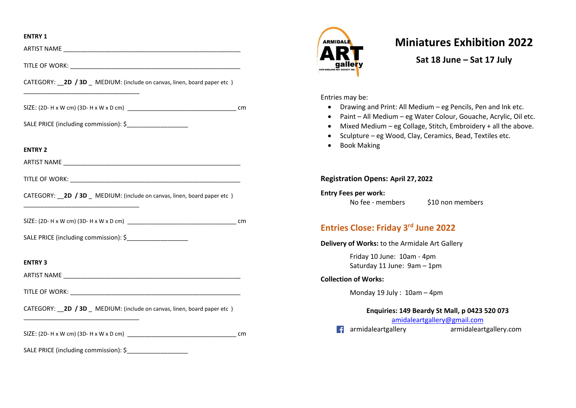### **ENTRY 1**

| CATEGORY: __ 2D / 3D _ MEDIUM: (include on canvas, linen, board paper etc) |    |
|----------------------------------------------------------------------------|----|
|                                                                            |    |
| SALE PRICE (including commission): \$________________________              |    |
| <b>ENTRY 2</b>                                                             |    |
|                                                                            |    |
|                                                                            |    |
| CATEGORY: __ 2D / 3D _ MEDIUM: (include on canvas, linen, board paper etc) |    |
|                                                                            |    |
|                                                                            |    |
| <b>ENTRY 3</b>                                                             |    |
|                                                                            |    |
|                                                                            |    |
| CATEGORY: __ 2D / 3D _ MEDIUM: (include on canvas, linen, board paper etc) |    |
|                                                                            | cm |
| SALE PRICE (including commission): \$                                      |    |



# **Miniatures Exhibition 2022**

**Sat 18 June – Sat 17 July**

Entries may be:

- Drawing and Print: All Medium eg Pencils, Pen and Ink etc.
- Paint All Medium eg Water Colour, Gouache, Acrylic, Oil etc.
- Mixed Medium eg Collage, Stitch, Embroidery + all the above.
- Sculpture eg Wood, Clay, Ceramics, Bead, Textiles etc.
- Book Making

**Registration Opens: April 27, 2022**

**Entry Fees per work:** 

No fee - members \$10 non members

# **Entries Close: Friday 3 rd June 2022**

**Delivery of Works:** to the Armidale Art Gallery

Friday 10 June: 10am - 4pm Saturday 11 June: 9am – 1pm

### **Collection of Works:**

Monday 19 July : 10am – 4pm

## **Enquiries: 149 Beardy St Mall, p 0423 520 073**

[amidaleartgallery@gmail.com](mailto:amidaleartgallery@gmail.com) 

armidaleartgallery armidaleartgallery.com